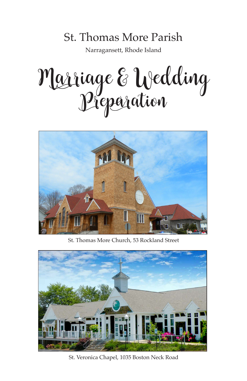# St. Thomas More Parish

Narragansett, Rhode Island

Marriage & Wedding Preparation



St. Thomas More Church, 53 Rockland Street



St. Veronica Chapel, 1035 Boston Neck Road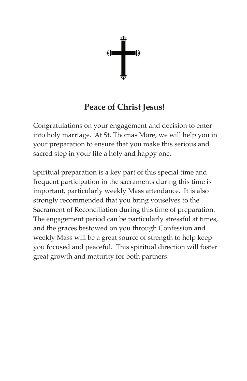

# **Peace of Christ Jesus!**

Congratulations on your engagement and decision to enter into holy marriage. At St. Thomas More, we will help you in your preparation to ensure that you make this serious and sacred step in your life a holy and happy one.

Spiritual preparation is a key part of this special time and frequent participation in the sacraments during this time is important, particularly weekly Mass attendance. It is also strongly recommended that you bring youselves to the Sacrament of Reconciliation during this time of preparation. The engagement period can be particularly stressful at times, and the graces bestowed on you through Confession and weekly Mass will be a great source of strength to help keep you focused and peaceful. This spiritual direction will foster great growth and maturity for both partners.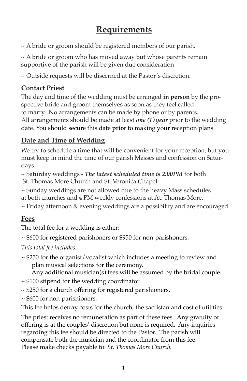# **Requirements**

~ A bride or groom should be registered members of our parish.

~ A bride or groom who has moved away but whose parents remain supportive of the parish will be given due consideration

~ Outside requests will be discerned at the Pastor's discretion.

#### **Contact Priest**

The day and time of the wedding must be arranged **in person** by the prospective bride and groom themselves as soon as they feel called to marry. No arrangements can be made by phone or by parents. All arrangements should be made at least *one (1) year* prior to the wedding date. You should secure this date **prior** to making your reception plans.

# **Date and Time of Wedding**

We try to schedule a time that will be convenient for your reception, but you must keep in mind the time of our parish Masses and confession on Saturdays.

~ Saturday weddings - *The latest scheduled time is 2:00PM* for both St. Thomas More Church and St. Veronica Chapel.

~ Sunday weddings are not allowed due to the heavy Mass schedules at both churches and 4 PM weekly confessions at At. Thomas More.

~ Friday afternoon & evening weddings are a possibility and are encouraged.

# **Fees**

The total fee for a wedding is either:

~ \$600 for registered parishoners or \$950 for non-parishoners:

*This total fee includes:*

~ \$250 for the organist/vocalist which includes a meeting to review and plan musical selections for the ceremony.

Any additional musician(s) fees will be assumed by the bridal couple.

- ~ \$100 stipend for the wedding coordinator.
- ~ \$250 for a church offering for registered parishioners.
- ~ \$600 for non-parishioners.

This fee helps defray costs for the church, the sacristan and cost of utilities.

The priest receives no remuneration as part of these fees. Any gratuity or offering is at the couples' discretion but none is required. Any inquiries regarding this fee should be directed to the Pastor. The parish will compensate both the musician and the coordinator from this fee. Please make checks payable to: *St. Thomas More Church.*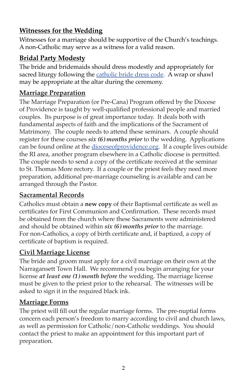### **Witnesses for the Wedding**

Witnesses for a marriage should be supportive of the Church's teachings. A non-Catholic may serve as a witness for a valid reason.

#### **Bridal Party Modesty**

The bride and bridemaids should dress modestly and appropriately for sacred liturgy following the catholic bride dress code. A wrap or shawl may be appropriate at the altar during the ceremony.

#### **Marriage Preparation**

The Marriage Preparation (or Pre-Cana) Program offered by the Diocese of Providence is taught by well-qualified professional people and married couples. Its purpose is of great importance today. It deals both with fundamental aspects of faith and the implications of the Sacrament of Matrimony. The couple needs to attend these seminars. A couple should register for these courses *six (6) months prior* to the wedding. Applications can be found online at the dioceseofprovidence.org. If a couple lives outside the RI area, another program elsewhere in a Catholic diocese is permitted. The couple needs to send a copy of the certificate received at the seminar to St. Thomas More rectory. If a couple or the priest feels they need more preparation, additional pre-marriage counseling is available and can be arranged through the Pastor.

#### **Sacramental Records**

Catholics must obtain a **new copy** of their Baptismal certificate as well as certificates for First Communion and Confirmation. These records must be obtained from the church where these Sacraments were administered and should be obtained within *six (6) months prior* to the marriage. For non-Catholics, a copy of birth certificate and, if baptized, a copy of certificate of baptism is required.

#### **Civil Marriage License**

The bride and groom must apply for a civil marriage on their own at the Narragansett Town Hall. We recommend you begin arranging for your license *at least one (1) month before* the wedding. The marriage license must be given to the priest prior to the rehearsal. The witnesses will be asked to sign it in the required black ink.

#### **Marriage Forms**

The priest will fill out the regular marriage forms. The pre-nuptial forms concern each person's freedom to marry according to civil and church laws, as well as permission for Catholic/non-Catholic weddings. You should contact the priest to make an appointment for this important part of preparation.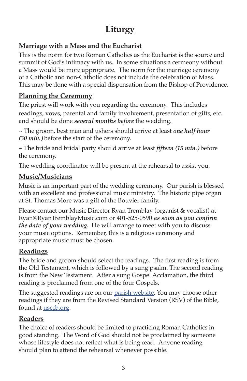# **Liturgy**

# **Marriage with a Mass and the Eucharist**

This is the norm for two Roman Catholics as the Eucharist is the source and summit of God's intimacy with us. In some situations a cermeony without a Mass would be more appropriate. The norm for the marriage ceremony of a Catholic and non-Catholic does not include the celebration of Mass. This may be done with a special dispensation from the Bishop of Providence.

#### **Planning the Ceremony**

The priest will work with you regarding the ceremony. This includes readings, vows, parental and family involvement, presentation of gifts, etc. and should be done *several months before* the wedding.

~ The groom, best man and ushers should arrive at least *one half hour (30 min.)* before the start of the ceremony.

~ The bride and bridal party should arrive at least *fifteen (15 min.)* before the ceremony.

The wedding coordinator will be present at the rehearsal to assist you.

#### **Music/Musicians**

Music is an important part of the wedding ceremony. Our parish is blessed with an excellent and professional music ministry. The historic pipe organ at St. Thomas More was a gift of the Bouvier family.

Please contact our Music Director Ryan Tremblay (organist & vocalist) at Ryan@RyanTremblayMusic.com or 401-525-0590 *as soon as you confirm the date of your wedding***.** He will arrange to meet with you to discuss your music options. Remember, this is a religious ceremony and appropriate music must be chosen.

# **Readings**

The bride and groom should select the readings. The first reading is from the Old Testament, which is followed by a sung psalm. The second reading is from the New Testament. After a sung Gospel Acclamation, the third reading is proclaimed from one of the four Gospels.

The suggested readings are on our parish website. You may choose other readings if they are from the Revised Standard Version (RSV) of the Bible, found at <u>usccb.org</u>.

# **Readers**

The choice of readers should be limited to practicing Roman Catholics in good standing. The Word of God should not be proclaimed by someone whose lifestyle does not reflect what is being read. Anyone reading should plan to attend the rehearsal whenever possible.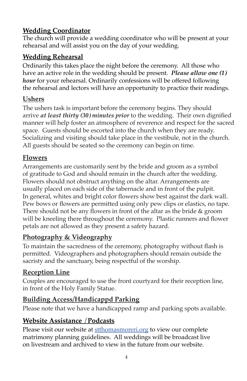# **Wedding Coordinator**

The church will provide a wedding coordinator who will be present at your rehearsal and will assist you on the day of your wedding.

#### **Wedding Rehearsal**

Ordinarily this takes place the night before the ceremony. All those who have an active role in the wedding should be present. *Please allow one (1) hour* for your rehearsal. Ordinarily confessions will be offered following the rehearsal and lectors will have an opportunity to practice their readings.

#### **Ushers**

The ushers task is important before the ceremony begins. They should arrive *at least thirty (30) minutes prior* to the wedding. Their own dignified manner will help foster an atmosphere of reverence and respect for the sacred space. Guests should be escorted into the church when they are ready. Socializing and visiting should take place in the vestibule, not in the church. All guests should be seated so the ceremony can begin on time.

#### **Flowers**

Arrangements are customarily sent by the bride and groom as a symbol of gratitude to God and should remain in the church after the wedding. Flowers should not obstruct anything on the altar. Arrangements are usually placed on each side of the tabernacle and in front of the pulpit. In general, whites and bright color flowers show best against the dark wall. Pew bows or flowers are permitted using only pew clips or elastics, no tape. There should not be any flowers in front of the altar as the bride & groom will be kneeling there throughout the ceremony. Plastic runners and flower petals are not allowed as they present a safety hazard.

#### **Photography & Videography**

To maintain the sacredness of the ceremony, photography without flash is permitted. Videographers and photographers should remain outside the sacristy and the sanctuary, being respectful of the worship.

#### **Reception Line**

Couples are encouraged to use the front courtyard for their reception line, in front of the Holy Family Statue.

#### **Building Access/Handicappd Parking**

Please note that we have a handicapped ramp and parking spots available.

#### **Website Assistance** /**Podcasts**

Please visit our website at stthomasmoreri.org to view our complete matrimony planning guidelines. All weddings will be broadcast live on livestream and archived to view in the future from our website.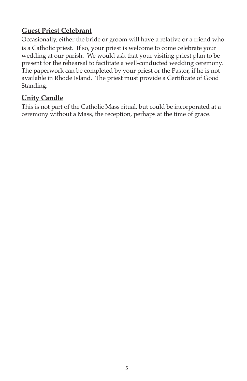#### **Guest Priest Celebrant**

Occasionally, either the bride or groom will have a relative or a friend who is a Catholic priest. If so, your priest is welcome to come celebrate your wedding at our parish. We would ask that your visiting priest plan to be present for the rehearsal to facilitate a well-conducted wedding ceremony. The paperwork can be completed by your priest or the Pastor, if he is not available in Rhode Island. The priest must provide a Certificate of Good Standing.

#### **Unity Candle**

This is not part of the Catholic Mass ritual, but could be incorporated at a ceremony without a Mass, the reception, perhaps at the time of grace.